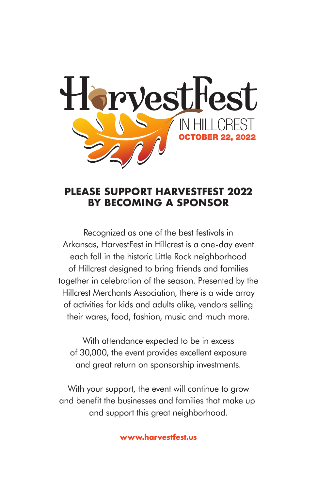

#### **PLEASE SUPPORT HARVESTFEST 2022 BY BECOMING A SPONSOR**

Recognized as one of the best festivals in Arkansas, HarvestFest in Hillcrest is a one-day event each fall in the historic Little Rock neighborhood of Hillcrest designed to bring friends and families together in celebration of the season. Presented by the Hillcrest Merchants Association, there is a wide array of activities for kids and adults alike, vendors selling their wares, food, fashion, music and much more.

With attendance expected to be in excess of 30,000, the event provides excellent exposure and great return on sponsorship investments.

With your support, the event will continue to grow and benefit the businesses and families that make up and support this great neighborhood.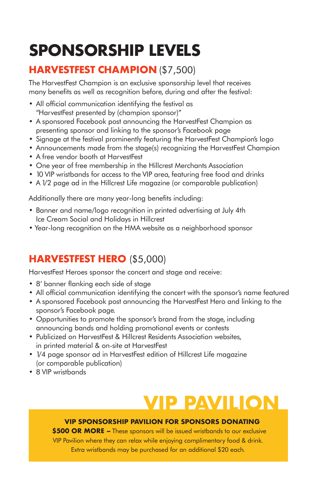# **SPONSORSHIP LEVELS**

### **HARVESTFEST CHAMPION** (\$7,500)

The HarvestFest Champion is an exclusive sponsorship level that receives many benefits as well as recognition before, during and after the festival:

- All official communication identifying the festival as "HarvestFest presented by (champion sponsor)"
- A sponsored Facebook post announcing the HarvestFest Champion as presenting sponsor and linking to the sponsor's Facebook page
- Signage at the festival prominently featuring the HarvestFest Champion's logo
- Announcements made from the stage(s) recognizing the HarvestFest Champion
- A free vendor booth at HarvestFest
- One year of free membership in the Hillcrest Merchants Association
- 10 VIP wristbands for access to the VIP area, featuring free food and drinks
- A 1/2 page ad in the Hillcrest Life magazine (or comparable publication)

Additionally there are many year-long benefits including:

- Banner and name/logo recognition in printed advertising at July 4th Ice Cream Social and Holidays in Hillcrest
- Year-long recognition on the HMA website as a neighborhood sponsor

### **HARVESTFEST HERO** (\$5,000)

HarvestFest Heroes sponsor the concert and stage and receive:

- 8' banner flanking each side of stage
- All official communication identifying the concert with the sponsor's name featured
- A sponsored Facebook post announcing the HarvestFest Hero and linking to the sponsor's Facebook page.
- Opportunities to promote the sponsor's brand from the stage, including announcing bands and holding promotional events or contests
- Publicized on HarvestFest & Hillcrest Residents Association websites, in printed material & on-site at HarvestFest
- 1/4 page sponsor ad in HarvestFest edition of Hillcrest Life magazine (or comparable publication)
- 8 VIP wristbands

## **VIP PAVILION**

#### **VIP SPONSORSHIP PAVILION FOR SPONSORS DONATING**

**\$500 OR MORE –** These sponsors will be issued wristbands to our exclusive VIP Pavilion where they can relax while enjoying complimentary food & drink. Extra wristbands may be purchased for an additional \$20 each.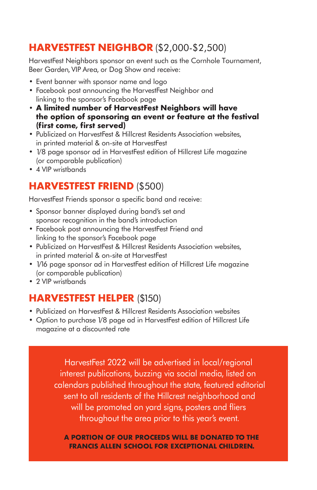#### **HARVESTFEST NEIGHBOR** (\$2,000-\$2,500)

HarvestFest Neighbors sponsor an event such as the Cornhole Tournament, Beer Garden, VIP Area, or Dog Show and receive:

- Event banner with sponsor name and logo
- Facebook post announcing the HarvestFest Neighbor and linking to the sponsor's Facebook page
- **A limited number of HarvestFest Neighbors will have the option of sponsoring an event or feature at the festival (first come, first served)**
- Publicized on HarvestFest & Hillcrest Residents Association websites, in printed material & on-site at HarvestFest
- 1/8 page sponsor ad in HarvestFest edition of Hillcrest Life magazine (or comparable publication)
- 4 VIP wristbands

#### **HARVESTFEST FRIEND** (\$500)

HarvestFest Friends sponsor a specific band and receive:

- Sponsor banner displayed during band's set and sponsor recognition in the band's introduction
- Facebook post announcing the HarvestFest Friend and linking to the sponsor's Facebook page
- Publicized on HarvestFest & Hillcrest Residents Association websites, in printed material & on-site at HarvestFest
- 1/16 page sponsor ad in HarvestFest edition of Hillcrest Life magazine (or comparable publication)
- 2 VIP wristbands

#### **HARVESTFEST HELPER** (\$150)

- Publicized on HarvestFest & Hillcrest Residents Association websites
- Option to purchase 1/8 page ad in HarvestFest edition of Hillcrest Life magazine at a discounted rate

HarvestFest 2022 will be advertised in local/regional interest publications, buzzing via social media, listed on calendars published throughout the state, featured editorial sent to all residents of the Hillcrest neighborhood and will be promoted on yard signs, posters and fliers throughout the area prior to this year's event.

**A PORTION OF OUR PROCEEDS WILL BE DONATED TO THE FRANCIS ALLEN SCHOOL FOR EXCEPTIONAL CHILDREN.**